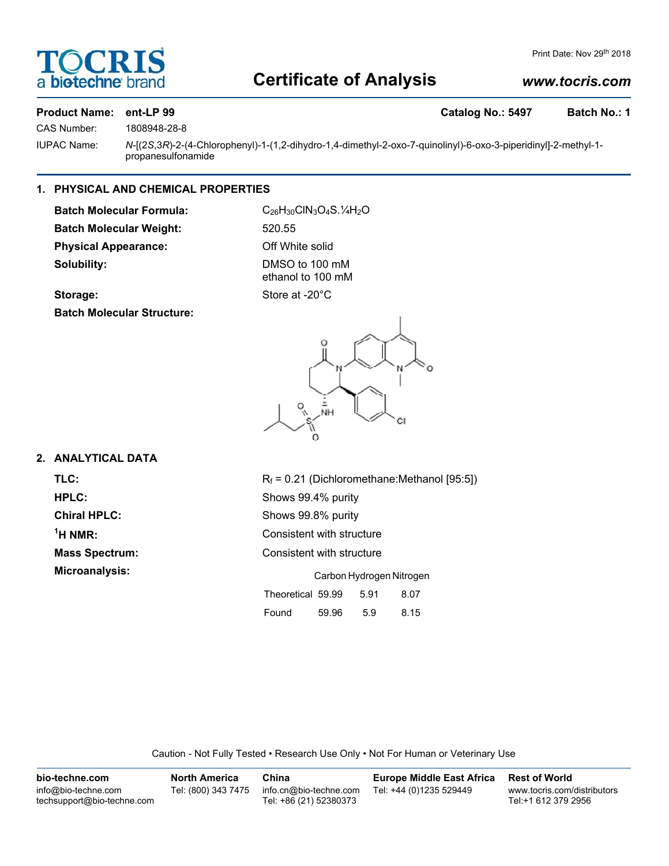# **DCR biotechne**

# Print Date: Nov 29th 2018

# **Certificate of Analysis**

# *www.tocris.com*

# **Product Name: ent-LP 99 Catalog No.: 5497 Batch No.: 1**

CAS Number: 1808948-28-8

IUPAC Name: *N*-[(2*S*,3*R*)-2-(4-Chlorophenyl)-1-(1,2-dihydro-1,4-dimethyl-2-oxo-7-quinolinyl)-6-oxo-3-piperidinyl]-2-methyl-1 propanesulfonamide

# **1. PHYSICAL AND CHEMICAL PROPERTIES**

Batch Molecular Formula: C<sub>26</sub>H<sub>30</sub>ClN<sub>3</sub>O<sub>4</sub>S.<sup>1</sup>/<sub>4</sub>H<sub>2</sub>O **Batch Molecular Weight:** 520.55 **Physical Appearance:** Off White solid **Solubility:** DMSO to 100 mM

ethanol to 100 mM

Storage: Store at -20°C

**Batch Molecular Structure:**



# **2. ANALYTICAL DATA**

 $<sup>1</sup>H NMR$ :</sup>

**TLC:**  $R_f = 0.21$  (Dichloromethane:Methanol [95:5]) **HPLC:** Shows 99.4% purity **Chiral HPLC:** Shows 99.8% purity **Consistent with structure Mass Spectrum:** Consistent with structure **Microanalysis:** Carbon Hydrogen Nitrogen Theoretical 59.99 5.91 8.07 Found 59.96 5.9 8.15

Caution - Not Fully Tested • Research Use Only • Not For Human or Veterinary Use

| bio-techne.com                                    | North America       | China                                            | <b>Europe Middle East Africa</b> | <b>Rest of World</b>                               |
|---------------------------------------------------|---------------------|--------------------------------------------------|----------------------------------|----------------------------------------------------|
| info@bio-techne.com<br>techsupport@bio-techne.com | Tel: (800) 343 7475 | info.cn@bio-techne.com<br>Tel: +86 (21) 52380373 | Tel: +44 (0)1235 529449          | www.tocris.com/distributors<br>Tel:+1 612 379 2956 |